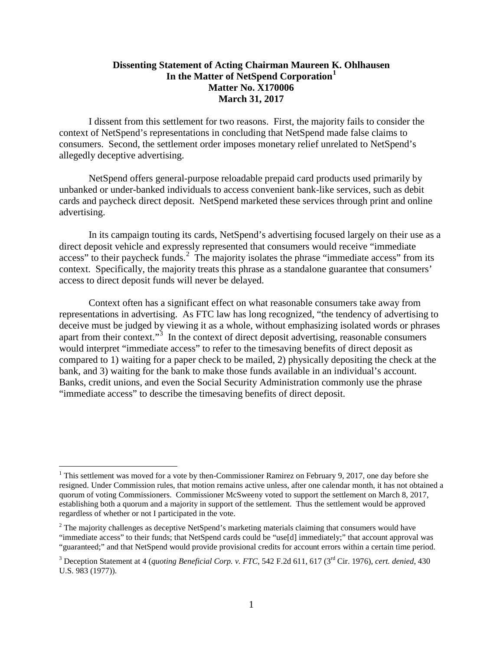## **Dissenting Statement of Acting Chairman Maureen K. Ohlhausen In the Matter of NetSpend Corporation[1](#page-0-0) Matter No. X170006 March 31, 2017**

I dissent from this settlement for two reasons. First, the majority fails to consider the context of NetSpend's representations in concluding that NetSpend made false claims to consumers. Second, the settlement order imposes monetary relief unrelated to NetSpend's allegedly deceptive advertising.

NetSpend offers general-purpose reloadable prepaid card products used primarily by unbanked or under-banked individuals to access convenient bank-like services, such as debit cards and paycheck direct deposit. NetSpend marketed these services through print and online advertising.

In its campaign touting its cards, NetSpend's advertising focused largely on their use as a direct deposit vehicle and expressly represented that consumers would receive "immediate access" to their paycheck funds.<sup>[2](#page-0-1)</sup> The majority isolates the phrase "immediate access" from its context. Specifically, the majority treats this phrase as a standalone guarantee that consumers' access to direct deposit funds will never be delayed.

Context often has a significant effect on what reasonable consumers take away from representations in advertising. As FTC law has long recognized, "the tendency of advertising to deceive must be judged by viewing it as a whole, without emphasizing isolated words or phrases apart from their context."<sup>[3](#page-0-2)</sup> In the context of direct deposit advertising, reasonable consumers would interpret "immediate access" to refer to the timesaving benefits of direct deposit as compared to 1) waiting for a paper check to be mailed, 2) physically depositing the check at the bank, and 3) waiting for the bank to make those funds available in an individual's account. Banks, credit unions, and even the Social Security Administration commonly use the phrase "immediate access" to describe the timesaving benefits of direct deposit.

<span id="page-0-0"></span> $1$  This settlement was moved for a vote by then-Commissioner Ramirez on February 9, 2017, one day before she resigned. Under Commission rules, that motion remains active unless, after one calendar month, it has not obtained a quorum of voting Commissioners. Commissioner McSweeny voted to support the settlement on March 8, 2017, establishing both a quorum and a majority in support of the settlement. Thus the settlement would be approved regardless of whether or not I participated in the vote.

<span id="page-0-1"></span><sup>&</sup>lt;sup>2</sup> The majority challenges as deceptive NetSpend's marketing materials claiming that consumers would have "immediate access" to their funds; that NetSpend cards could be "use[d] immediately;" that account approval was "guaranteed;" and that NetSpend would provide provisional credits for account errors within a certain time period.

<span id="page-0-2"></span><sup>&</sup>lt;sup>3</sup> Deception Statement at 4 (*quoting Beneficial Corp. v. FTC*, 542 F.2d 611, 617 (3<sup>rd</sup> Cir. 1976), *cert. denied*, 430 U.S. 983 (1977)).